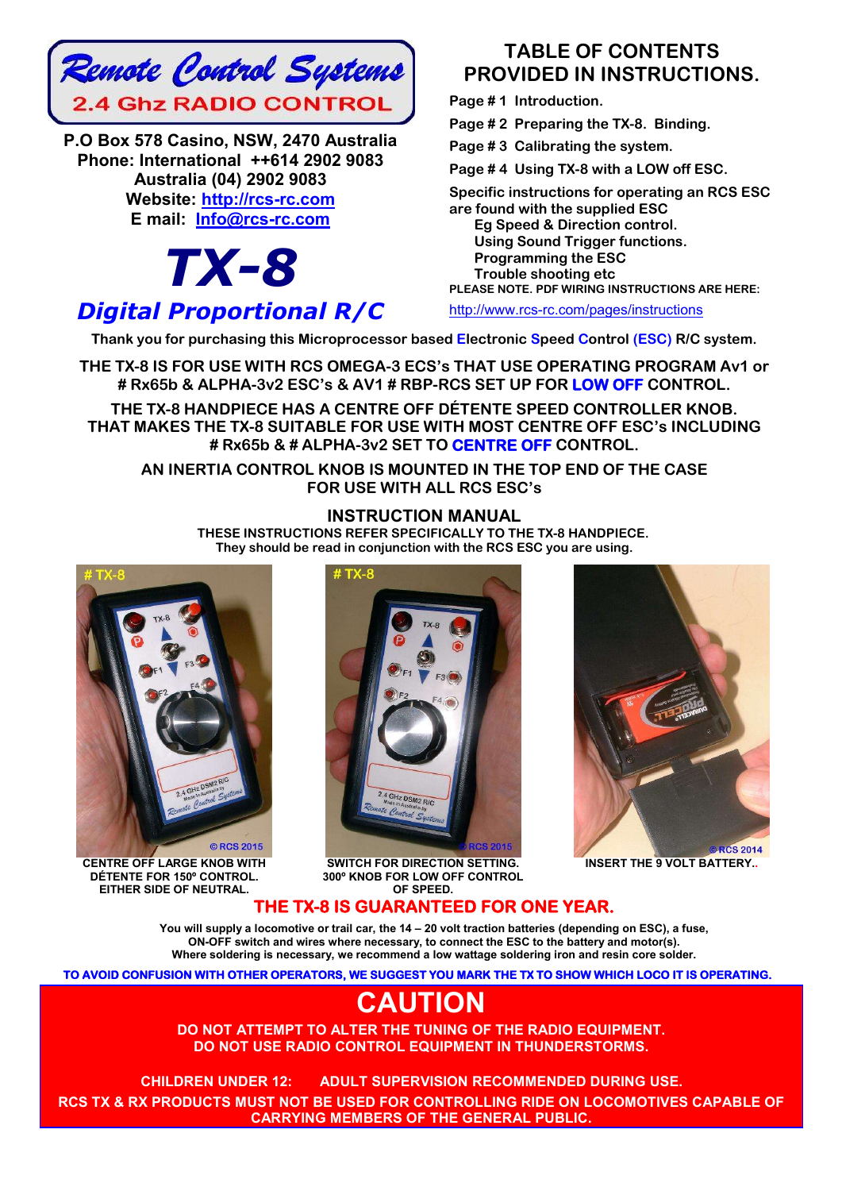

**P.O Box 578 Casino, NSW, 2470 Australia Phone: International ++614 2902 9083 Australia (04) 2902 9083 Website: http://rcs-rc.com E mail: Info@rcs-rc.com**

# *TX-8*

# *Digital Proportional R/C*

# **TABLE OF CONTENTS PROVIDED IN INSTRUCTIONS.**

**Page # 1 Introduction.**

**Page # 2 Preparing the TX-8. Binding.**

**Page # 3 Calibrating the system.**

**Page # 4 Using TX-8 with a LOW off ESC.**

**Specific instructions for operating an RCS ESC**

**are found with the supplied ESC Eg Speed & Direction control.**

 **Using Sound Trigger functions. Programming the ESC Trouble shooting etc PLEASE NOTE. PDF WIRING INSTRUCTIONS ARE HERE:**

http://www.rcs-rc.com/pages/instructions

**Thank you for purchasing this Microprocessor based Electronic Speed Control (ESC) R/C system.**

**THE TX-8 IS FOR USE WITH RCS OMEGA-3 ECS's THAT USE OPERATING PROGRAM Av1 or # Rx65b & ALPHA-3v2 ESC's & AV1 # RBP-RCS SET UP FOR LOW OFF CONTROL.** 

**THE TX-8 HANDPIECE HAS A CENTRE OFF DÉTENTE SPEED CONTROLLER KNOB. THAT MAKES THE TX-8 SUITABLE FOR USE WITH MOST CENTRE OFF ESC's INCLUDING # Rx65b & # ALPHA-3v2 SET TO CENTRE OFF CONTROL.**

**AN INERTIA CONTROL KNOB IS MOUNTED IN THE TOP END OF THE CASE FOR USE WITH ALL RCS ESC's**

# **INSTRUCTION MANUAL**

**THESE INSTRUCTIONS REFER SPECIFICALLY TO THE TX-8 HANDPIECE. They should be read in conjunction with the RCS ESC you are using.**



**CENTRE OFF LARGE KNOB WITH DÉTENTE FOR 150º CONTROL. EITHER SIDE OF NEUTRAL.**



**SWITCH FOR DIRECTION SETTING. 300º KNOB FOR LOW OFF CONTROL OF SPEED.**



**INSERT THE 9 VOLT BATTERY..**

# **THE TX-8 IS GUARANTEED FOR ONE YEAR.**

**You will supply a locomotive or trail car, the 14 – 20 volt traction batteries (depending on ESC), a fuse, ON-OFF switch and wires where necessary, to connect the ESC to the battery and motor(s). Where soldering is necessary, we recommend a low wattage soldering iron and resin core solder.**

**TO AVOID CONFUSION WITH OTHER OPERATORS, WE SUGGEST YOU MARK THE TX TO SHOW WHICH LOCO IT IS OPERATING.** 

# **CAUTION**

**DO NOT ATTEMPT TO ALTER THE TUNING OF THE RADIO EQUIPMENT. DO NOT USE RADIO CONTROL EQUIPMENT IN THUNDERSTORMS.**

**CHILDREN UNDER 12: ADULT SUPERVISION RECOMMENDED DURING USE.**!! **RCS TX & RX PRODUCTS MUST NOT BE USED FOR CONTROLLING RIDE ON LOCOMOTIVES CAPABLE OF CARRYING MEMBERS OF THE GENERAL PUBLIC.**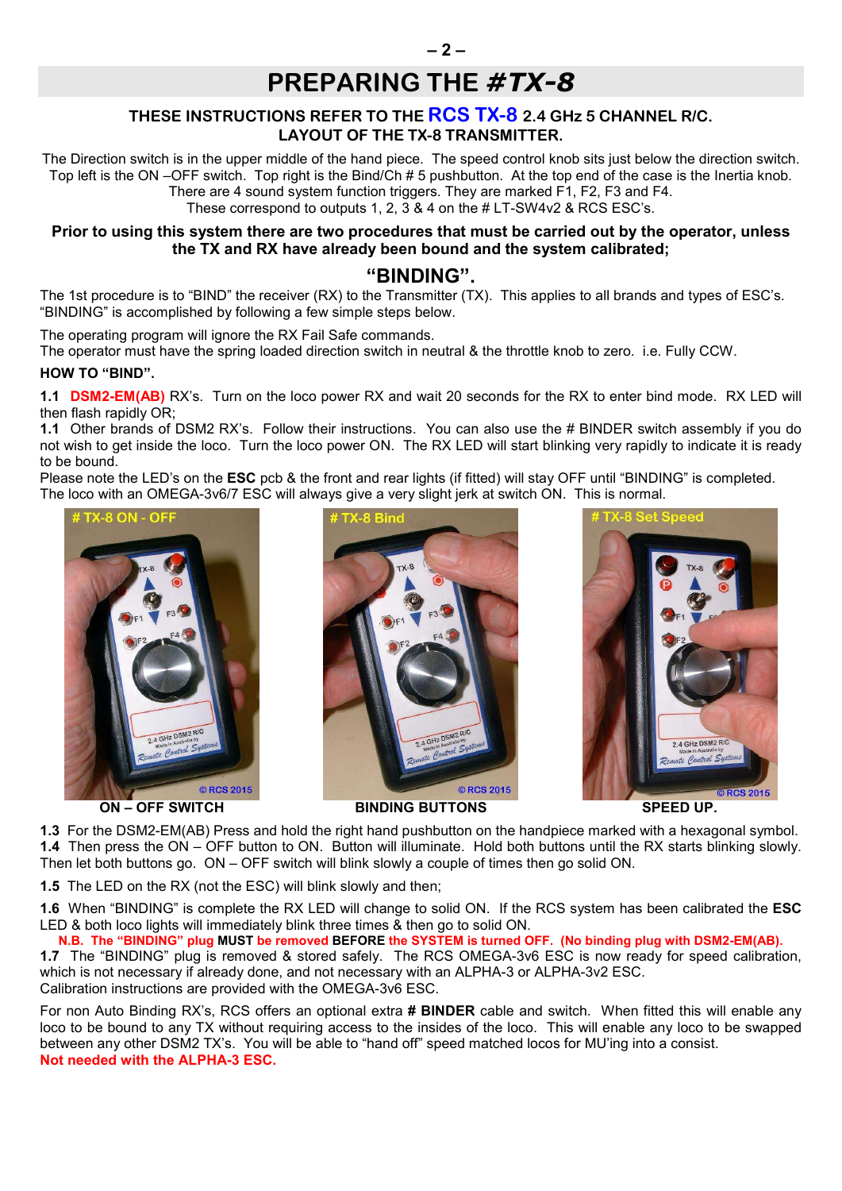# **PREPARING THE** *#TX-8*

# **THESE INSTRUCTIONS REFER TO THE RCS TX-8 2.4 GHz 5 CHANNEL R/C. LAYOUT OF THE TX-8 TRANSMITTER.**

The Direction switch is in the upper middle of the hand piece. The speed control knob sits just below the direction switch. Top left is the ON –OFF switch. Top right is the Bind/Ch # 5 pushbutton. At the top end of the case is the Inertia knob. There are 4 sound system function triggers. They are marked F1, F2, F3 and F4.

These correspond to outputs 1, 2, 3 & 4 on the # LT-SW4v2 & RCS ESC's.

## **Prior to using this system there are two procedures that must be carried out by the operator, unless the TX and RX have already been bound and the system calibrated;**

# **"BINDING".**

The 1st procedure is to "BIND" the receiver (RX) to the Transmitter (TX). This applies to all brands and types of ESC's. "BINDING" is accomplished by following a few simple steps below.

The operating program will ignore the RX Fail Safe commands.

The operator must have the spring loaded direction switch in neutral & the throttle knob to zero. i.e. Fully CCW.

#### **HOW TO "BIND".**

**1.1 DSM2-EM(AB)** RX's. Turn on the loco power RX and wait 20 seconds for the RX to enter bind mode. RX LED will then flash rapidly OR;

**1.1** Other brands of DSM2 RX's. Follow their instructions. You can also use the # BINDER switch assembly if you do not wish to get inside the loco. Turn the loco power ON. The RX LED will start blinking very rapidly to indicate it is ready to be bound.

Please note the LED's on the **ESC** pcb & the front and rear lights (if fitted) will stay OFF until "BINDING" is completed. The loco with an OMEGA-3v6/7 ESC will always give a very slight jerk at switch ON. This is normal.



**ON – OFF SWITCH BINDING BUTTONS SPEED UP.**







**1.3** For the DSM2-EM(AB) Press and hold the right hand pushbutton on the handpiece marked with a hexagonal symbol. **1.4** Then press the ON – OFF button to ON. Button will illuminate. Hold both buttons until the RX starts blinking slowly. Then let both buttons go. ON – OFF switch will blink slowly a couple of times then go solid ON.

**1.5** The LED on the RX (not the ESC) will blink slowly and then;

**1.6** When "BINDING" is complete the RX LED will change to solid ON. If the RCS system has been calibrated the **ESC** LED & both loco lights will immediately blink three times & then go to solid ON.

## **N.B. The "BINDING" plug MUST be removed BEFORE the SYSTEM is turned OFF. (No binding plug with DSM2-EM(AB).**

**1.7** The "BINDING" plug is removed & stored safely. The RCS OMEGA-3v6 ESC is now ready for speed calibration, which is not necessary if already done, and not necessary with an ALPHA-3 or ALPHA-3v2 ESC. Calibration instructions are provided with the OMEGA-3v6 ESC.

For non Auto Binding RX's, RCS offers an optional extra **# BINDER** cable and switch. When fitted this will enable any loco to be bound to any TX without requiring access to the insides of the loco. This will enable any loco to be swapped between any other DSM2 TX's. You will be able to "hand off" speed matched locos for MU'ing into a consist. **Not needed with the ALPHA-3 ESC.**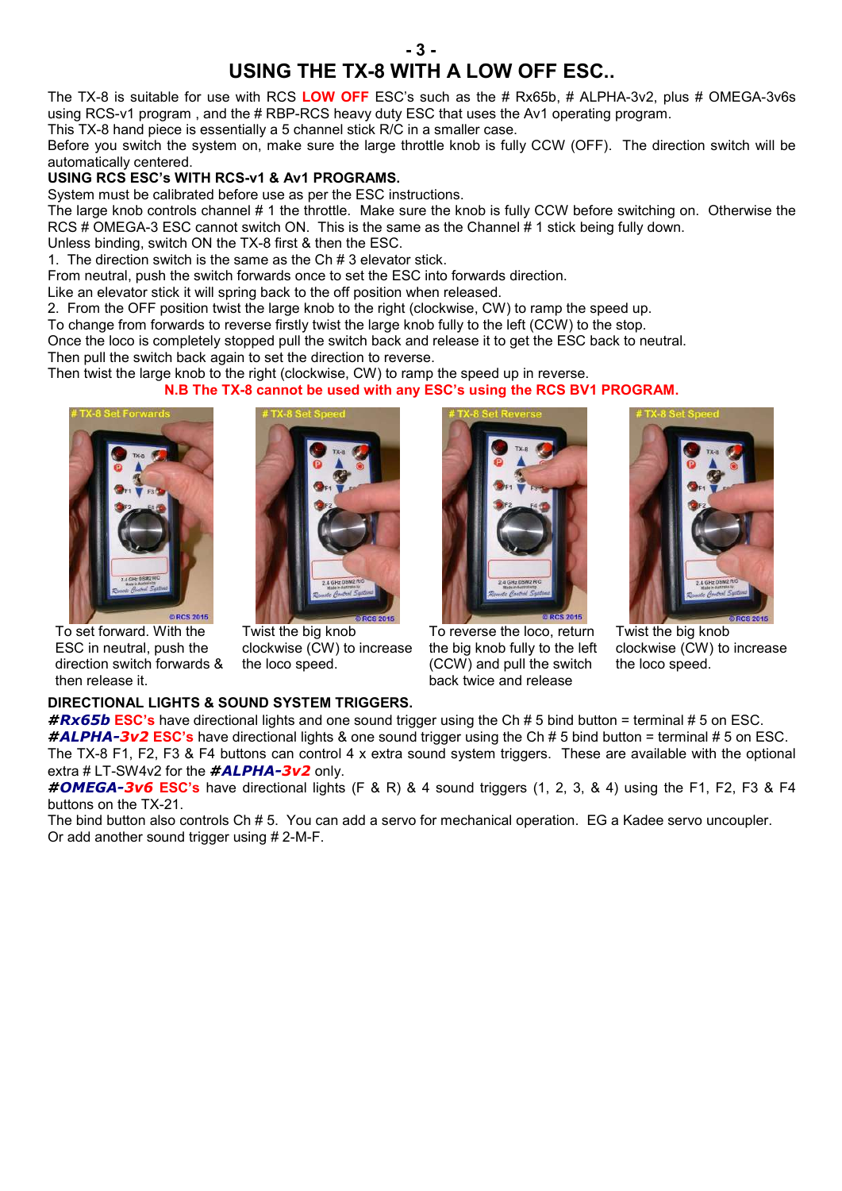# **- 3 - USING THE TX-8 WITH A LOW OFF ESC..**

The TX-8 is suitable for use with RCS **LOW OFF** ESC's such as the # Rx65b, # ALPHA-3v2, plus # OMEGA-3v6s using RCS-v1 program , and the # RBP-RCS heavy duty ESC that uses the Av1 operating program.

This TX-8 hand piece is essentially a 5 channel stick R/C in a smaller case.

Before you switch the system on, make sure the large throttle knob is fully CCW (OFF). The direction switch will be automatically centered.

## **USING RCS ESC's WITH RCS-v1 & Av1 PROGRAMS.**

System must be calibrated before use as per the ESC instructions.

The large knob controls channel # 1 the throttle. Make sure the knob is fully CCW before switching on. Otherwise the RCS # OMEGA-3 ESC cannot switch ON. This is the same as the Channel # 1 stick being fully down. Unless binding, switch ON the TX-8 first & then the ESC.

1. The direction switch is the same as the Ch # 3 elevator stick.

From neutral, push the switch forwards once to set the ESC into forwards direction.

Like an elevator stick it will spring back to the off position when released.

2. From the OFF position twist the large knob to the right (clockwise, CW) to ramp the speed up.

To change from forwards to reverse firstly twist the large knob fully to the left (CCW) to the stop.

Once the loco is completely stopped pull the switch back and release it to get the ESC back to neutral.

Then pull the switch back again to set the direction to reverse.

Then twist the large knob to the right (clockwise, CW) to ramp the speed up in reverse.

**N.B The TX-8 cannot be used with any ESC's using the RCS BV1 PROGRAM.**



To set forward. With the ESC in neutral, push the direction switch forwards & then release it.



Twist the big knob clockwise (CW) to increase the loco speed.





To reverse the loco, return the big knob fully to the left (CCW) and pull the switch back twice and release

Twist the big knob clockwise (CW) to increase the loco speed.

#### **DIRECTIONAL LIGHTS & SOUND SYSTEM TRIGGERS.**

*#Rx65b* **ESC's** have directional lights and one sound trigger using the Ch # 5 bind button = terminal # 5 on ESC. *#ALPHA-3v2* **ESC's** have directional lights & one sound trigger using the Ch # 5 bind button = terminal # 5 on ESC. The TX-8 F1, F2, F3 & F4 buttons can control 4 x extra sound system triggers. These are available with the optional extra # LT-SW4v2 for the *#ALPHA-3v2* only.

*#OMEGA-3v6* **ESC's** have directional lights (F & R) & 4 sound triggers (1, 2, 3, & 4) using the F1, F2, F3 & F4 buttons on the TX-21.

The bind button also controls Ch # 5. You can add a servo for mechanical operation. EG a Kadee servo uncoupler. Or add another sound trigger using # 2-M-F.